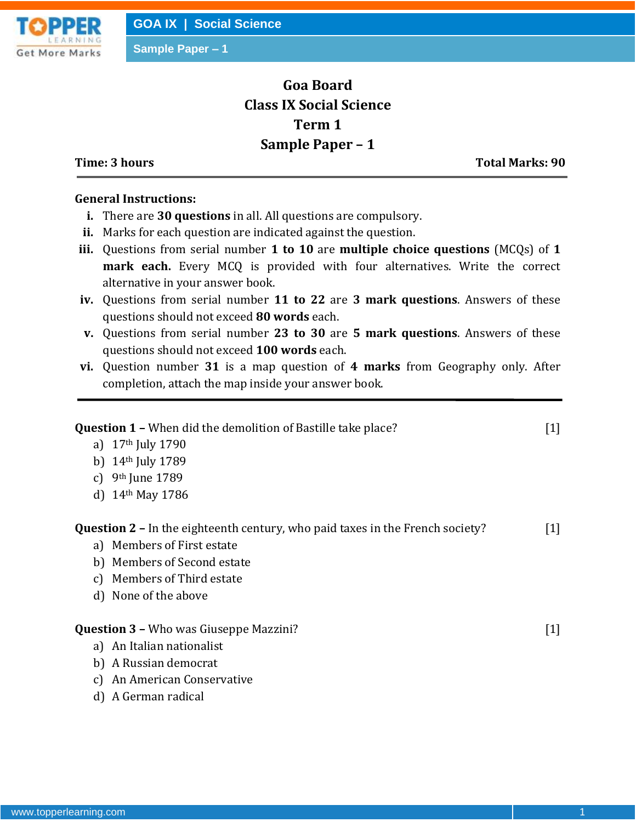

**Sample Paper – 1**

## **Goa Board Class IX Social Science Term 1 Sample Paper – 1**

**Time: 3 hours Total Marks: 90**

## **General Instructions:**

- **i.** There are **30 questions** in all. All questions are compulsory.
- **ii.** Marks for each question are indicated against the question.
- **iii.** Questions from serial number **1 to 10** are **multiple choice questions** (MCQs) of **1 mark each.** Every MCQ is provided with four alternatives. Write the correct alternative in your answer book.
- **iv.** Questions from serial number **11 to 22** are **3 mark questions**. Answers of these questions should not exceed **80 words** each.
- **v.** Questions from serial number **23 to 30** are **5 mark questions**. Answers of these questions should not exceed **100 words** each.
- **vi.** Question number **31** is a map question of **4 marks** from Geography only. After completion, attach the map inside your answer book.

| <b>Question 1 - When did the demolition of Bastille take place?</b>                  | $[1]$ |
|--------------------------------------------------------------------------------------|-------|
| a) $17th$ July 1790                                                                  |       |
| 14 <sup>th</sup> July 1789<br>b)                                                     |       |
| 9 <sup>th</sup> June 1789<br>C)                                                      |       |
| d) $14th$ May 1786                                                                   |       |
| <b>Question 2 - In the eighteenth century, who paid taxes in the French society?</b> | $[1]$ |
| a) Members of First estate                                                           |       |
| b) Members of Second estate                                                          |       |
| Members of Third estate<br>C)                                                        |       |
| d) None of the above                                                                 |       |
| <b>Question 3 - Who was Giuseppe Mazzini?</b>                                        | $[1]$ |
| a) An Italian nationalist                                                            |       |
| A Russian democrat<br>b)                                                             |       |
| An American Conservative<br>C)                                                       |       |
| d) A German radical                                                                  |       |
|                                                                                      |       |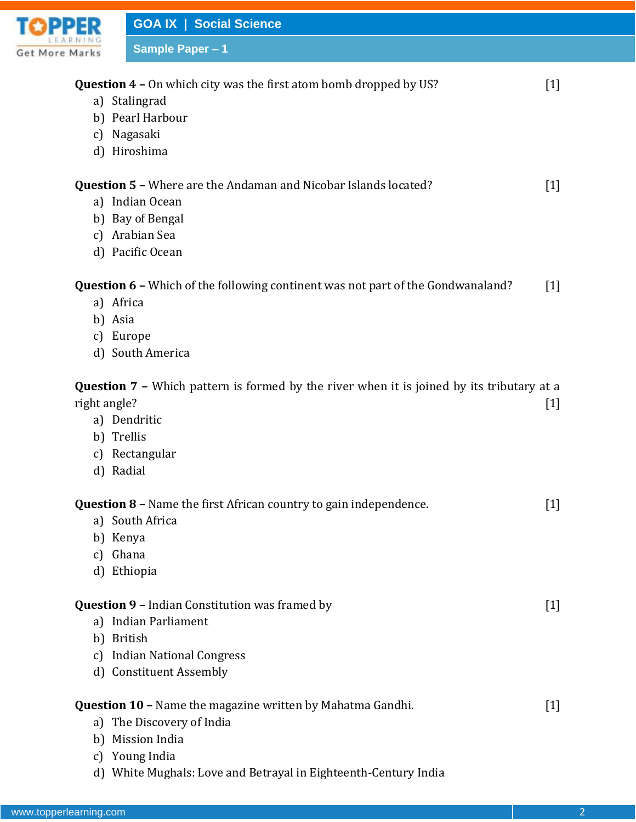

|              | <b>Question 4 -</b> On which city was the first atom bomb dropped by US?                         | $[1]$             |
|--------------|--------------------------------------------------------------------------------------------------|-------------------|
|              | a) Stalingrad                                                                                    |                   |
|              | b) Pearl Harbour                                                                                 |                   |
|              | c) Nagasaki                                                                                      |                   |
|              | d) Hiroshima                                                                                     |                   |
|              | <b>Question 5 - Where are the Andaman and Nicobar Islands located?</b>                           | $\lceil 1 \rceil$ |
|              | a) Indian Ocean                                                                                  |                   |
|              | b) Bay of Bengal                                                                                 |                   |
|              | c) Arabian Sea                                                                                   |                   |
|              | d) Pacific Ocean                                                                                 |                   |
|              | <b>Question 6 -</b> Which of the following continent was not part of the Gondwanaland?           | $\lceil 1 \rceil$ |
|              | a) Africa                                                                                        |                   |
|              | b) Asia                                                                                          |                   |
|              | c) Europe                                                                                        |                   |
|              | d) South America                                                                                 |                   |
|              | <b>Question 7 -</b> Which pattern is formed by the river when it is joined by its tributary at a |                   |
| right angle? |                                                                                                  | $[1]$             |
|              | a) Dendritic                                                                                     |                   |
|              | b) Trellis                                                                                       |                   |
|              | c) Rectangular                                                                                   |                   |
|              | d) Radial                                                                                        |                   |
|              | <b>Question 8 - Name the first African country to gain independence.</b>                         | $[1]$             |
|              | a) South Africa                                                                                  |                   |
|              | b) Kenya                                                                                         |                   |
|              | c) Ghana                                                                                         |                   |
|              | d) Ethiopia                                                                                      |                   |
|              | <b>Question 9 - Indian Constitution was framed by</b>                                            | $[1]$             |
|              | a) Indian Parliament                                                                             |                   |
|              | b) British                                                                                       |                   |
|              | c) Indian National Congress                                                                      |                   |
|              | d) Constituent Assembly                                                                          |                   |
|              | <b>Question 10 - Name the magazine written by Mahatma Gandhi.</b>                                | $[1]$             |
|              | a) The Discovery of India                                                                        |                   |
| b)           | <b>Mission India</b>                                                                             |                   |
|              | c) Young India                                                                                   |                   |
|              | d) White Mughals: Love and Betrayal in Eighteenth-Century India                                  |                   |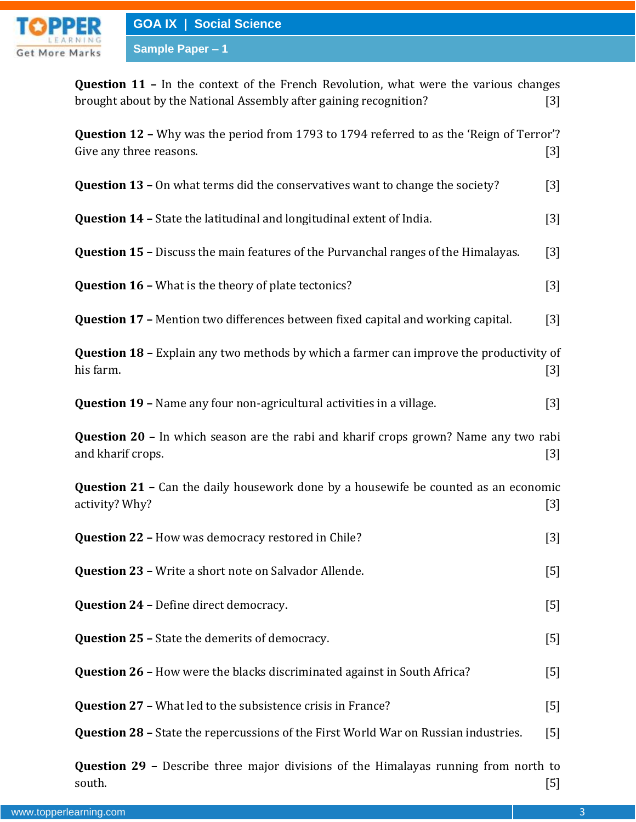

**Question 11 –** In the context of the French Revolution, what were the various changes brought about by the National Assembly after gaining recognition? [3]

| Question 12 - Why was the period from 1793 to 1794 referred to as the 'Reign of Terror'?<br>Give any three reasons. | $[3]$             |
|---------------------------------------------------------------------------------------------------------------------|-------------------|
| <b>Question 13 - On what terms did the conservatives want to change the society?</b>                                | $[3]$             |
| <b>Question 14 - State the latitudinal and longitudinal extent of India.</b>                                        | $[3]$             |
| <b>Question 15 -</b> Discuss the main features of the Purvanchal ranges of the Himalayas.                           | $[3]$             |
| <b>Question 16 - What is the theory of plate tectonics?</b>                                                         | $[3]$             |
| Question 17 - Mention two differences between fixed capital and working capital.                                    | $[3]$             |
| <b>Question 18 - Explain any two methods by which a farmer can improve the productivity of</b><br>his farm.         | $[3]$             |
| Question 19 - Name any four non-agricultural activities in a village.                                               | $[3]$             |
| <b>Question 20 - In which season are the rabi and kharif crops grown? Name any two rabi</b><br>and kharif crops.    | $[3]$             |
| <b>Question 21 -</b> Can the daily housework done by a housewife be counted as an economic<br>activity? Why?        | $[3]$             |
| Question 22 - How was democracy restored in Chile?                                                                  | $[3]$             |
| Question 23 - Write a short note on Salvador Allende.                                                               | $[5]$             |
| <b>Question 24 - Define direct democracy.</b>                                                                       | $\lceil 5 \rceil$ |
| <b>Question 25 - State the demerits of democracy.</b>                                                               | $[5]$             |
| <b>Question 26 - How were the blacks discriminated against in South Africa?</b>                                     | $[5]$             |
| <b>Question 27 - What led to the subsistence crisis in France?</b>                                                  | $[5]$             |
| <b>Question 28 - State the repercussions of the First World War on Russian industries.</b>                          | [5]               |
| <b>Question 29 -</b> Describe three major divisions of the Himalayas running from north to                          |                   |

south. [5]